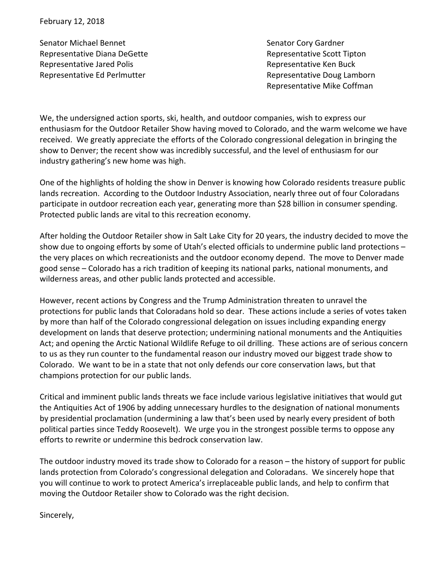Senator Michael Bennet Representative Diana DeGette Representative Jared Polis Representative Ed Perlmutter

Senator Cory Gardner Representative Scott Tipton Representative Ken Buck Representative Doug Lamborn Representative Mike Coffman

We, the undersigned action sports, ski, health, and outdoor companies, wish to express our enthusiasm for the Outdoor Retailer Show having moved to Colorado, and the warm welcome we have received. We greatly appreciate the efforts of the Colorado congressional delegation in bringing the show to Denver; the recent show was incredibly successful, and the level of enthusiasm for our industry gathering's new home was high.

One of the highlights of holding the show in Denver is knowing how Colorado residents treasure public lands recreation. According to the Outdoor Industry Association, nearly three out of four Coloradans participate in outdoor recreation each year, generating more than \$28 billion in consumer spending. Protected public lands are vital to this recreation economy.

After holding the Outdoor Retailer show in Salt Lake City for 20 years, the industry decided to move the show due to ongoing efforts by some of Utah's elected officials to undermine public land protections  $$ the very places on which recreationists and the outdoor economy depend. The move to Denver made good sense – Colorado has a rich tradition of keeping its national parks, national monuments, and wilderness areas, and other public lands protected and accessible.

However, recent actions by Congress and the Trump Administration threaten to unravel the protections for public lands that Coloradans hold so dear. These actions include a series of votes taken by more than half of the Colorado congressional delegation on issues including expanding energy development on lands that deserve protection; undermining national monuments and the Antiquities Act; and opening the Arctic National Wildlife Refuge to oil drilling. These actions are of serious concern to us as they run counter to the fundamental reason our industry moved our biggest trade show to Colorado. We want to be in a state that not only defends our core conservation laws, but that champions protection for our public lands.

Critical and imminent public lands threats we face include various legislative initiatives that would gut the Antiquities Act of 1906 by adding unnecessary hurdles to the designation of national monuments by presidential proclamation (undermining a law that's been used by nearly every president of both political parties since Teddy Roosevelt). We urge you in the strongest possible terms to oppose any efforts to rewrite or undermine this bedrock conservation law.

The outdoor industry moved its trade show to Colorado for a reason  $-$  the history of support for public lands protection from Colorado's congressional delegation and Coloradans. We sincerely hope that you will continue to work to protect America's irreplaceable public lands, and help to confirm that moving the Outdoor Retailer show to Colorado was the right decision.

Sincerely,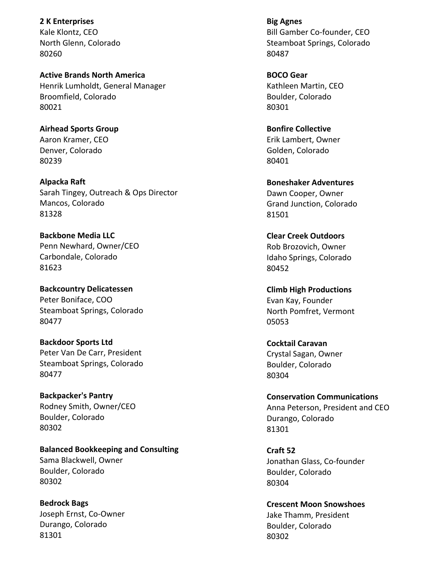**2 K Enterprises** Kale Klontz, CEO North Glenn, Colorado 80260

**Active Brands North America** Henrik Lumholdt, General Manager Broomfield, Colorado 80021

**Airhead Sports Group** Aaron Kramer, CEO Denver, Colorado 80239

**Alpacka Raft** Sarah Tingey, Outreach & Ops Director Mancos, Colorado 81328

**Backbone Media LLC** Penn Newhard, Owner/CEO Carbondale, Colorado 81623

**Backcountry Delicatessen** Peter Boniface, COO Steamboat Springs, Colorado 80477

**Backdoor Sports Ltd** Peter Van De Carr, President Steamboat Springs, Colorado 80477

**Backpacker's Pantry** Rodney Smith, Owner/CEO Boulder, Colorado 80302

**Balanced Bookkeeping and Consulting** Sama Blackwell, Owner Boulder, Colorado 80302

**Bedrock Bags** Joseph Ernst, Co-Owner Durango, Colorado 81301

**Big Agnes Bill Gamber Co-founder, CEO** Steamboat Springs, Colorado 80487

**BOCO Gear** Kathleen Martin, CEO Boulder, Colorado 80301

**Bonfire Collective** Erik Lambert, Owner Golden, Colorado 80401

**Boneshaker Adventures** Dawn Cooper, Owner Grand Junction, Colorado 81501

**Clear Creek Outdoors** Rob Brozovich, Owner Idaho Springs, Colorado 80452

**Climb High Productions** Evan Kay, Founder North Pomfret, Vermont 05053

**Cocktail Caravan** Crystal Sagan, Owner Boulder, Colorado 80304

**Conservation Communications** Anna Peterson, President and CEO Durango, Colorado 81301

**Craft 52** Jonathan Glass, Co-founder Boulder, Colorado 80304

**Crescent Moon Snowshoes** Jake Thamm, President Boulder, Colorado 80302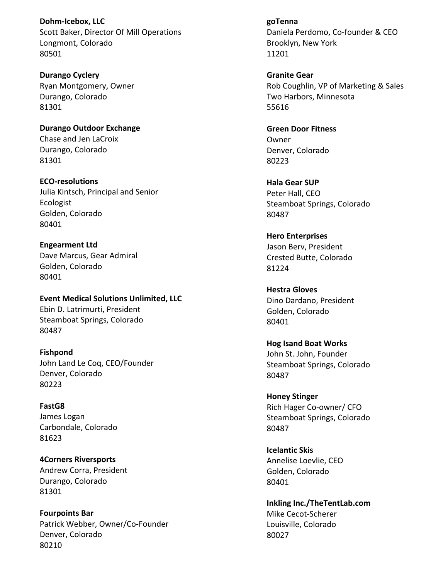**Dohm-Icebox, LLC** Scott Baker, Director Of Mill Operations Longmont, Colorado 80501

**Durango Cyclery** Ryan Montgomery, Owner Durango, Colorado 81301

**Durango Outdoor Exchange** Chase and Jen LaCroix Durango, Colorado 81301

**ECO-resolutions** Julia Kintsch, Principal and Senior Ecologist Golden, Colorado 80401

**Engearment Ltd** Dave Marcus, Gear Admiral Golden, Colorado 80401

**Event Medical Solutions Unlimited, LLC** Ebin D. Latrimurti, President Steamboat Springs, Colorado 80487

**Fishpond** John Land Le Coq, CEO/Founder Denver, Colorado 80223

**FastG8** James Logan Carbondale, Colorado 81623

**4Corners Riversports** Andrew Corra, President Durango, Colorado 81301

**Fourpoints Bar** Patrick Webber, Owner/Co-Founder Denver, Colorado 80210

**goTenna**  Daniela Perdomo, Co-founder & CEO Brooklyn, New York 11201

**Granite Gear** Rob Coughlin, VP of Marketing & Sales Two Harbors, Minnesota 55616

**Green Door Fitness Owner** Denver, Colorado 80223

**Hala Gear SUP** Peter Hall, CEO Steamboat Springs, Colorado 80487

**Hero Enterprises** Jason Berv, President Crested Butte, Colorado 81224

**Hestra Gloves** Dino Dardano, President Golden, Colorado 80401

**Hog Isand Boat Works** John St. John, Founder Steamboat Springs, Colorado 80487

**Honey Stinger** Rich Hager Co-owner/ CFO Steamboat Springs, Colorado 80487

**Icelantic Skis** Annelise Loevlie, CEO Golden, Colorado 80401

**Inkling Inc./TheTentLab.com** Mike Cecot-Scherer Louisville, Colorado 80027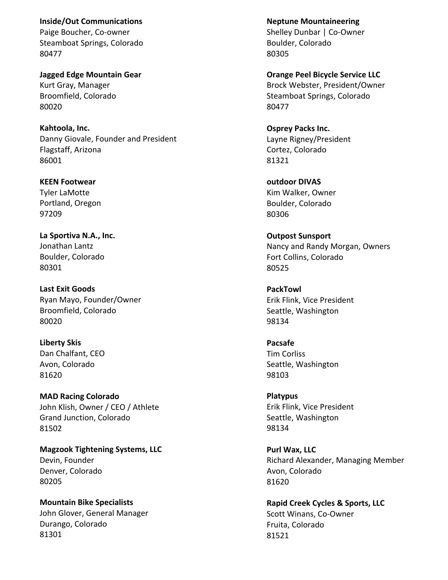**Inside/Out Communications** Paige Boucher, Co-owner Steamboat Springs, Colorado 80477

**Jagged Edge Mountain Gear** Kurt Gray, Manager Broomfield, Colorado 80020

**Kahtoola, Inc.** Danny Giovale, Founder and President Flagstaff, Arizona 86001

**KEEN Footwear Tyler LaMotte** Portland, Oregon 97209

La Sportiva N.A., Inc. Jonathan Lantz Boulder, Colorado 80301

**Last Exit Goods** Ryan Mayo, Founder/Owner Broomfield, Colorado 80020

**Liberty Skis** Dan Chalfant, CEO Avon, Colorado 81620

**MAD Racing Colorado** John Klish, Owner / CEO / Athlete Grand Junction, Colorado 81502

**Magzook Tightening Systems, LLC** Devin, Founder Denver, Colorado 80205

**Mountain Bike Specialists** John Glover, General Manager Durango, Colorado 81301

**Neptune Mountaineering** Shelley Dunbar | Co-Owner Boulder, Colorado 80305

**Orange Peel Bicycle Service LLC** Brock Webster, President/Owner Steamboat Springs, Colorado 80477

**Osprey Packs Inc.** Layne Rigney/President Cortez, Colorado 81321

**outdoor DIVAS** Kim Walker, Owner Boulder, Colorado 80306

**Outpost Sunsport** Nancy and Randy Morgan, Owners Fort Collins, Colorado 80525

**PackTowl** Erik Flink, Vice President Seattle, Washington 98134

**Pacsafe** Tim Corliss Seattle, Washington 98103

**Platypus** Erik Flink, Vice President Seattle, Washington 98134

**Purl Wax, LLC** Richard Alexander, Managing Member Avon, Colorado 81620

**Rapid Creek Cycles & Sports, LLC** Scott Winans, Co-Owner Fruita, Colorado 81521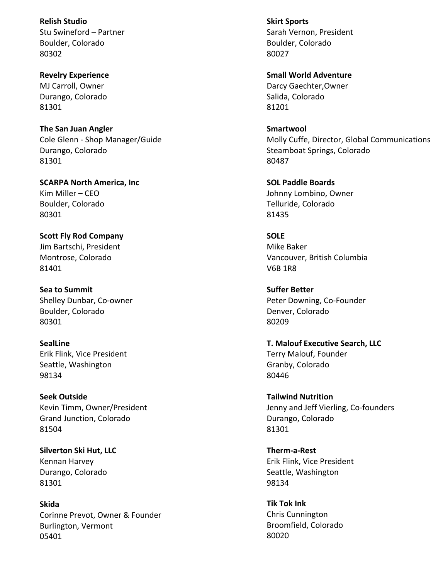**Relish Studio** Stu Swineford – Partner Boulder, Colorado 80302

**Revelry Experience MJ Carroll, Owner** Durango, Colorado 81301

**The San Juan Angler** Cole Glenn - Shop Manager/Guide Durango, Colorado 81301

**SCARPA North America, Inc.** Kim Miller - CEO Boulder, Colorado 80301

**Scott Fly Rod Company** Jim Bartschi, President Montrose, Colorado 81401

**Sea to Summit** Shelley Dunbar, Co-owner Boulder, Colorado 80301

**SealLine** Erik Flink, Vice President Seattle, Washington 98134

**Seek Outside** Kevin Timm, Owner/President Grand Junction, Colorado 81504

**Silverton Ski Hut, LLC** Kennan Harvey Durango, Colorado 81301

**Skida** Corinne Prevot, Owner & Founder Burlington, Vermont 05401

**Skirt Sports** Sarah Vernon, President Boulder, Colorado 80027

**Small World Adventure** Darcy Gaechter,Owner Salida, Colorado 81201

**Smartwool** Molly Cuffe, Director, Global Communications Steamboat Springs, Colorado 80487

**SOL Paddle Boards** Johnny Lombino, Owner Telluride, Colorado 81435

**SOLE** Mike Baker Vancouver, British Columbia V6B 1R8

**Suffer Better** Peter Downing, Co-Founder Denver, Colorado 80209

**T. Malouf Executive Search, LLC** Terry Malouf, Founder Granby, Colorado 80446

**Tailwind Nutrition** Jenny and Jeff Vierling, Co-founders Durango, Colorado 81301

**Therm-a-Rest** Erik Flink, Vice President Seattle, Washington 98134

**Tik Tok Ink** Chris Cunnington Broomfield, Colorado 80020